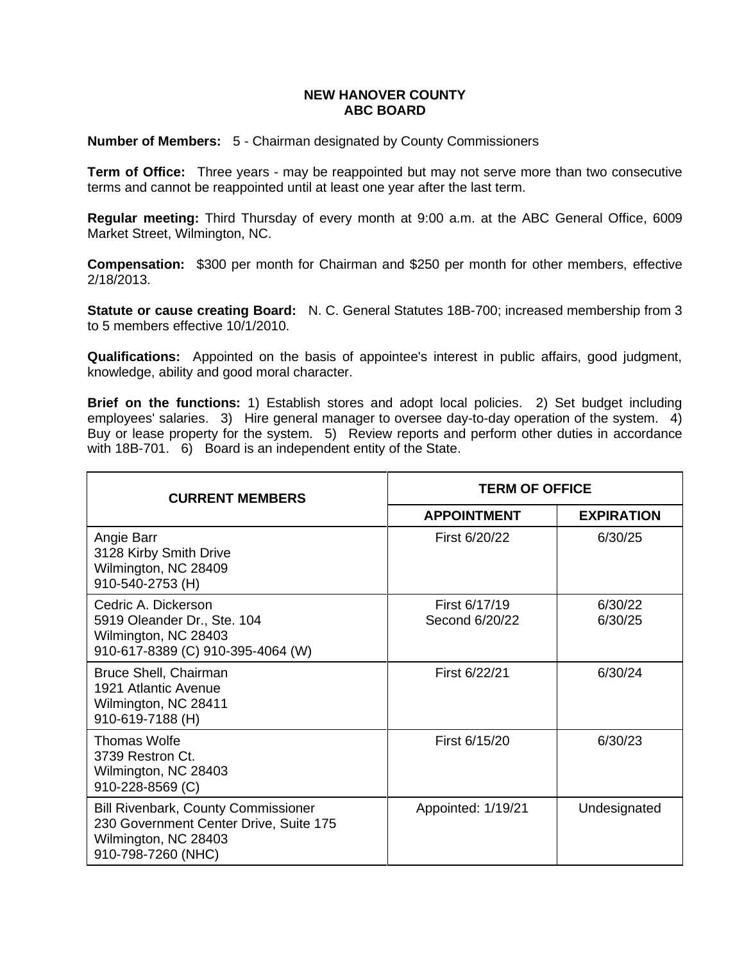## **NEW HANOVER COUNTY ABC BOARD**

**Number of Members:** 5 - Chairman designated by County Commissioners

**Term of Office:** Three years - may be reappointed but may not serve more than two consecutive terms and cannot be reappointed until at least one year after the last term.

**Regular meeting:** Third Thursday of every month at 9:00 a.m. at the ABC General Office, 6009 Market Street, Wilmington, NC.

**Compensation:** \$300 per month for Chairman and \$250 per month for other members, effective 2/18/2013.

**Statute or cause creating Board:** N. C. General Statutes 18B-700; increased membership from 3 to 5 members effective 10/1/2010.

**Qualifications:** Appointed on the basis of appointee's interest in public affairs, good judgment, knowledge, ability and good moral character.

**Brief on the functions:** 1) Establish stores and adopt local policies. 2) Set budget including employees' salaries. 3) Hire general manager to oversee day-to-day operation of the system. 4) Buy or lease property for the system. 5) Review reports and perform other duties in accordance with 18B-701. 6) Board is an independent entity of the State.

| <b>CURRENT MEMBERS</b>                                                                                                             | <b>TERM OF OFFICE</b>           |                    |
|------------------------------------------------------------------------------------------------------------------------------------|---------------------------------|--------------------|
|                                                                                                                                    | <b>APPOINTMENT</b>              | <b>EXPIRATION</b>  |
| Angie Barr<br>3128 Kirby Smith Drive<br>Wilmington, NC 28409<br>910-540-2753 (H)                                                   | First 6/20/22                   | 6/30/25            |
| Cedric A. Dickerson<br>5919 Oleander Dr., Ste. 104<br>Wilmington, NC 28403<br>910-617-8389 (C) 910-395-4064 (W)                    | First 6/17/19<br>Second 6/20/22 | 6/30/22<br>6/30/25 |
| Bruce Shell, Chairman<br>1921 Atlantic Avenue<br>Wilmington, NC 28411<br>910-619-7188 (H)                                          | First 6/22/21                   | 6/30/24            |
| Thomas Wolfe<br>3739 Restron Ct.<br>Wilmington, NC 28403<br>910-228-8569 (C)                                                       | First 6/15/20                   | 6/30/23            |
| <b>Bill Rivenbark, County Commissioner</b><br>230 Government Center Drive, Suite 175<br>Wilmington, NC 28403<br>910-798-7260 (NHC) | Appointed: 1/19/21              | Undesignated       |